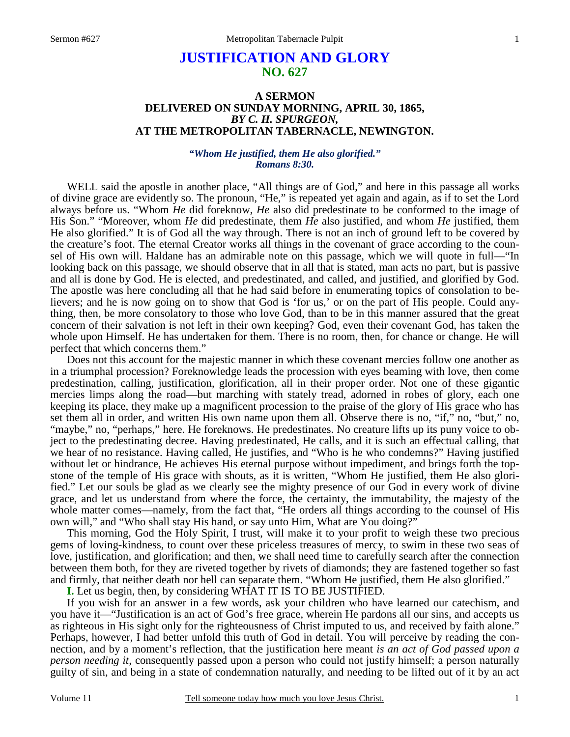# **JUSTIFICATION AND GLORY NO. 627**

## **A SERMON DELIVERED ON SUNDAY MORNING, APRIL 30, 1865,**  *BY C. H. SPURGEON,*  **AT THE METROPOLITAN TABERNACLE, NEWINGTON.**

### *"Whom He justified, them He also glorified." Romans 8:30.*

WELL said the apostle in another place, "All things are of God," and here in this passage all works of divine grace are evidently so. The pronoun, "He," is repeated yet again and again, as if to set the Lord always before us. "Whom *He* did foreknow, *He* also did predestinate to be conformed to the image of His Son." "Moreover, whom *He* did predestinate, them *He* also justified, and whom *He* justified, them He also glorified." It is of God all the way through. There is not an inch of ground left to be covered by the creature's foot. The eternal Creator works all things in the covenant of grace according to the counsel of His own will. Haldane has an admirable note on this passage, which we will quote in full—"In looking back on this passage, we should observe that in all that is stated, man acts no part, but is passive and all is done by God. He is elected, and predestinated, and called, and justified, and glorified by God. The apostle was here concluding all that he had said before in enumerating topics of consolation to believers; and he is now going on to show that God is 'for us,' or on the part of His people. Could anything, then, be more consolatory to those who love God, than to be in this manner assured that the great concern of their salvation is not left in their own keeping? God, even their covenant God, has taken the whole upon Himself. He has undertaken for them. There is no room, then, for chance or change. He will perfect that which concerns them."

 Does not this account for the majestic manner in which these covenant mercies follow one another as in a triumphal procession? Foreknowledge leads the procession with eyes beaming with love, then come predestination, calling, justification, glorification, all in their proper order. Not one of these gigantic mercies limps along the road—but marching with stately tread, adorned in robes of glory, each one keeping its place, they make up a magnificent procession to the praise of the glory of His grace who has set them all in order, and written His own name upon them all. Observe there is no, "if," no, "but," no, "maybe," no, "perhaps," here. He foreknows. He predestinates. No creature lifts up its puny voice to object to the predestinating decree. Having predestinated, He calls, and it is such an effectual calling, that we hear of no resistance. Having called, He justifies, and "Who is he who condemns?" Having justified without let or hindrance, He achieves His eternal purpose without impediment, and brings forth the topstone of the temple of His grace with shouts, as it is written, "Whom He justified, them He also glorified." Let our souls be glad as we clearly see the mighty presence of our God in every work of divine grace, and let us understand from where the force, the certainty, the immutability, the majesty of the whole matter comes—namely, from the fact that, "He orders all things according to the counsel of His own will," and "Who shall stay His hand, or say unto Him, What are You doing?"

 This morning, God the Holy Spirit, I trust, will make it to your profit to weigh these two precious gems of loving-kindness, to count over these priceless treasures of mercy, to swim in these two seas of love, justification, and glorification; and then, we shall need time to carefully search after the connection between them both, for they are riveted together by rivets of diamonds; they are fastened together so fast and firmly, that neither death nor hell can separate them. "Whom He justified, them He also glorified."

**I.** Let us begin, then, by considering WHAT IT IS TO BE JUSTIFIED.

 If you wish for an answer in a few words, ask your children who have learned our catechism, and you have it—"Justification is an act of God's free grace, wherein He pardons all our sins, and accepts us as righteous in His sight only for the righteousness of Christ imputed to us, and received by faith alone." Perhaps, however, I had better unfold this truth of God in detail. You will perceive by reading the connection, and by a moment's reflection, that the justification here meant *is an act of God passed upon a person needing it,* consequently passed upon a person who could not justify himself; a person naturally guilty of sin, and being in a state of condemnation naturally, and needing to be lifted out of it by an act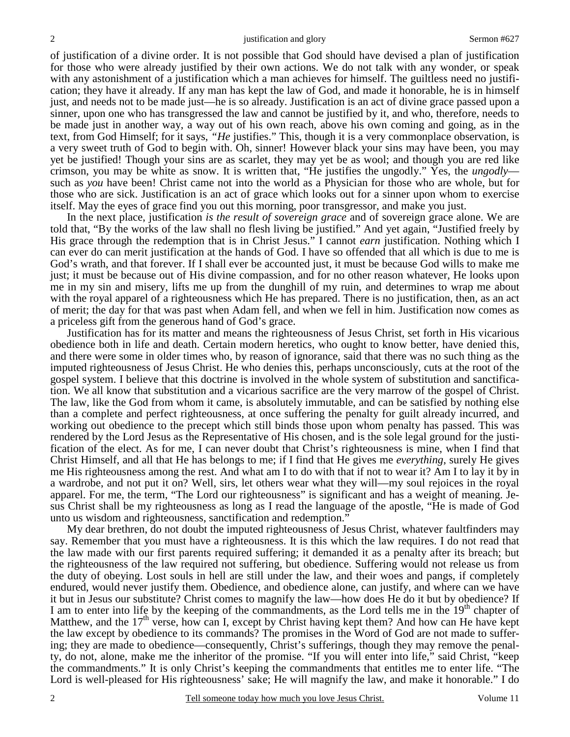of justification of a divine order. It is not possible that God should have devised a plan of justification for those who were already justified by their own actions. We do not talk with any wonder, or speak with any astonishment of a justification which a man achieves for himself. The guiltless need no justification; they have it already. If any man has kept the law of God, and made it honorable, he is in himself just, and needs not to be made just—he is so already. Justification is an act of divine grace passed upon a sinner, upon one who has transgressed the law and cannot be justified by it, and who, therefore, needs to be made just in another way, a way out of his own reach, above his own coming and going, as in the text, from God Himself; for it says, *"He* justifies." This, though it is a very commonplace observation, is a very sweet truth of God to begin with. Oh, sinner! However black your sins may have been, you may yet be justified! Though your sins are as scarlet, they may yet be as wool; and though you are red like crimson, you may be white as snow. It is written that, "He justifies the ungodly." Yes, the *ungodly* such as *you* have been! Christ came not into the world as a Physician for those who are whole, but for those who are sick. Justification is an act of grace which looks out for a sinner upon whom to exercise itself. May the eyes of grace find you out this morning, poor transgressor, and make you just.

 In the next place, justification *is the result of sovereign grace* and of sovereign grace alone. We are told that, "By the works of the law shall no flesh living be justified." And yet again, "Justified freely by His grace through the redemption that is in Christ Jesus." I cannot *earn* justification. Nothing which I can ever do can merit justification at the hands of God. I have so offended that all which is due to me is God's wrath, and that forever. If I shall ever be accounted just, it must be because God wills to make me just; it must be because out of His divine compassion, and for no other reason whatever, He looks upon me in my sin and misery, lifts me up from the dunghill of my ruin, and determines to wrap me about with the royal apparel of a righteousness which He has prepared. There is no justification, then, as an act of merit; the day for that was past when Adam fell, and when we fell in him. Justification now comes as a priceless gift from the generous hand of God's grace.

 Justification has for its matter and means the righteousness of Jesus Christ, set forth in His vicarious obedience both in life and death. Certain modern heretics, who ought to know better, have denied this, and there were some in older times who, by reason of ignorance, said that there was no such thing as the imputed righteousness of Jesus Christ. He who denies this, perhaps unconsciously, cuts at the root of the gospel system. I believe that this doctrine is involved in the whole system of substitution and sanctification. We all know that substitution and a vicarious sacrifice are the very marrow of the gospel of Christ. The law, like the God from whom it came, is absolutely immutable, and can be satisfied by nothing else than a complete and perfect righteousness, at once suffering the penalty for guilt already incurred, and working out obedience to the precept which still binds those upon whom penalty has passed. This was rendered by the Lord Jesus as the Representative of His chosen, and is the sole legal ground for the justification of the elect. As for me, I can never doubt that Christ's righteousness is mine, when I find that Christ Himself, and all that He has belongs to me; if I find that He gives me *everything*, surely He gives me His righteousness among the rest. And what am I to do with that if not to wear it? Am I to lay it by in a wardrobe, and not put it on? Well, sirs, let others wear what they will—my soul rejoices in the royal apparel. For me, the term, "The Lord our righteousness" is significant and has a weight of meaning. Jesus Christ shall be my righteousness as long as I read the language of the apostle, "He is made of God unto us wisdom and righteousness, sanctification and redemption."

 My dear brethren, do not doubt the imputed righteousness of Jesus Christ, whatever faultfinders may say. Remember that you must have a righteousness. It is this which the law requires. I do not read that the law made with our first parents required suffering; it demanded it as a penalty after its breach; but the righteousness of the law required not suffering, but obedience. Suffering would not release us from the duty of obeying. Lost souls in hell are still under the law, and their woes and pangs, if completely endured, would never justify them. Obedience, and obedience alone, can justify, and where can we have it but in Jesus our substitute? Christ comes to magnify the law—how does He do it but by obedience? If I am to enter into life by the keeping of the commandments, as the Lord tells me in the 19<sup>th</sup> chapter of Matthew, and the  $17<sup>th</sup>$  verse, how can I, except by Christ having kept them? And how can He have kept the law except by obedience to its commands? The promises in the Word of God are not made to suffering; they are made to obedience—consequently, Christ's sufferings, though they may remove the penalty, do not, alone, make me the inheritor of the promise. "If you will enter into life," said Christ, "keep the commandments." It is only Christ's keeping the commandments that entitles me to enter life. "The Lord is well-pleased for His righteousness' sake; He will magnify the law, and make it honorable." I do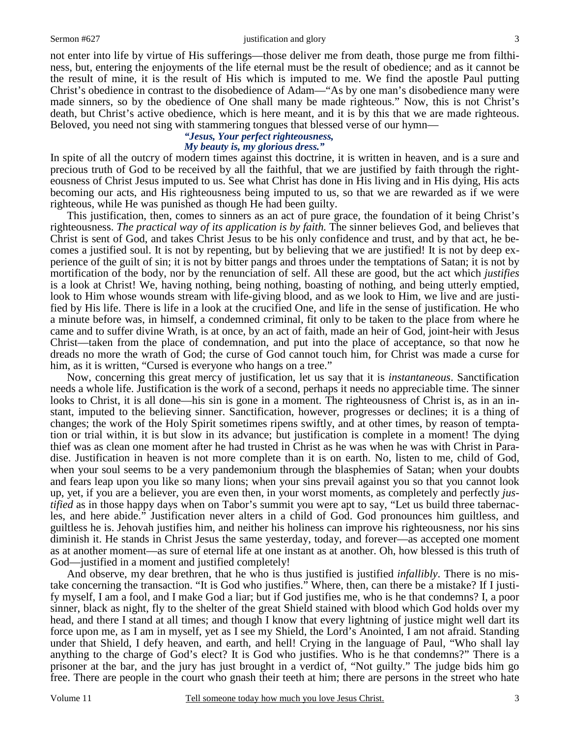not enter into life by virtue of His sufferings—those deliver me from death, those purge me from filthiness, but, entering the enjoyments of the life eternal must be the result of obedience; and as it cannot be the result of mine, it is the result of His which is imputed to me. We find the apostle Paul putting Christ's obedience in contrast to the disobedience of Adam—"As by one man's disobedience many were made sinners, so by the obedience of One shall many be made righteous." Now, this is not Christ's death, but Christ's active obedience, which is here meant, and it is by this that we are made righteous. Beloved, you need not sing with stammering tongues that blessed verse of our hymn—

#### *"Jesus, Your perfect righteousness, My beauty is, my glorious dress."*

In spite of all the outcry of modern times against this doctrine, it is written in heaven, and is a sure and precious truth of God to be received by all the faithful, that we are justified by faith through the righteousness of Christ Jesus imputed to us. See what Christ has done in His living and in His dying, His acts becoming our acts, and His righteousness being imputed to us, so that we are rewarded as if we were righteous, while He was punished as though He had been guilty.

 This justification, then, comes to sinners as an act of pure grace, the foundation of it being Christ's righteousness. *The practical way of its application is by faith.* The sinner believes God, and believes that Christ is sent of God, and takes Christ Jesus to be his only confidence and trust, and by that act, he becomes a justified soul. It is not by repenting, but by believing that we are justified! It is not by deep experience of the guilt of sin; it is not by bitter pangs and throes under the temptations of Satan; it is not by mortification of the body, nor by the renunciation of self. All these are good, but the act which *justifies* is a look at Christ! We, having nothing, being nothing, boasting of nothing, and being utterly emptied, look to Him whose wounds stream with life-giving blood, and as we look to Him, we live and are justified by His life. There is life in a look at the crucified One, and life in the sense of justification. He who a minute before was, in himself, a condemned criminal, fit only to be taken to the place from where he came and to suffer divine Wrath, is at once, by an act of faith, made an heir of God, joint-heir with Jesus Christ—taken from the place of condemnation, and put into the place of acceptance, so that now he dreads no more the wrath of God; the curse of God cannot touch him, for Christ was made a curse for him, as it is written, "Cursed is everyone who hangs on a tree."

 Now, concerning this great mercy of justification, let us say that it is *instantaneous*. Sanctification needs a whole life. Justification is the work of a second, perhaps it needs no appreciable time. The sinner looks to Christ, it is all done—his sin is gone in a moment. The righteousness of Christ is, as in an instant, imputed to the believing sinner. Sanctification, however, progresses or declines; it is a thing of changes; the work of the Holy Spirit sometimes ripens swiftly, and at other times, by reason of temptation or trial within, it is but slow in its advance; but justification is complete in a moment! The dying thief was as clean one moment after he had trusted in Christ as he was when he was with Christ in Paradise. Justification in heaven is not more complete than it is on earth. No, listen to me, child of God, when your soul seems to be a very pandemonium through the blasphemies of Satan; when your doubts and fears leap upon you like so many lions; when your sins prevail against you so that you cannot look up, yet, if you are a believer, you are even then, in your worst moments, as completely and perfectly *justified* as in those happy days when on Tabor's summit you were apt to say, "Let us build three tabernacles, and here abide." Justification never alters in a child of God. God pronounces him guiltless, and guiltless he is. Jehovah justifies him, and neither his holiness can improve his righteousness, nor his sins diminish it. He stands in Christ Jesus the same yesterday, today, and forever—as accepted one moment as at another moment—as sure of eternal life at one instant as at another. Oh, how blessed is this truth of God—justified in a moment and justified completely!

 And observe, my dear brethren, that he who is thus justified is justified *infallibly*. There is no mistake concerning the transaction. "It is God who justifies." Where, then, can there be a mistake? If I justify myself, I am a fool, and I make God a liar; but if God justifies me, who is he that condemns? I, a poor sinner, black as night, fly to the shelter of the great Shield stained with blood which God holds over my head, and there I stand at all times; and though I know that every lightning of justice might well dart its force upon me, as I am in myself, yet as I see my Shield, the Lord's Anointed, I am not afraid. Standing under that Shield, I defy heaven, and earth, and hell! Crying in the language of Paul, "Who shall lay anything to the charge of God's elect? It is God who justifies. Who is he that condemns?" There is a prisoner at the bar, and the jury has just brought in a verdict of, "Not guilty." The judge bids him go free. There are people in the court who gnash their teeth at him; there are persons in the street who hate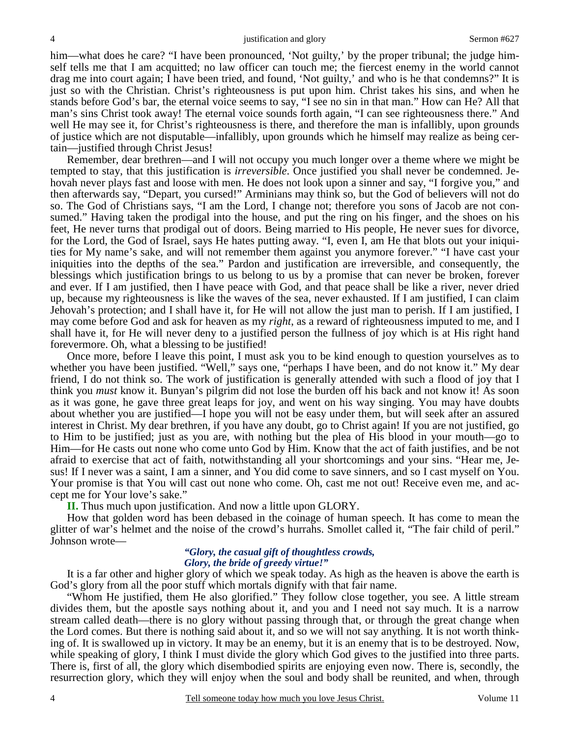him—what does he care? "I have been pronounced, 'Not guilty,' by the proper tribunal; the judge himself tells me that I am acquitted; no law officer can touch me; the fiercest enemy in the world cannot drag me into court again; I have been tried, and found, 'Not guilty,' and who is he that condemns?" It is just so with the Christian. Christ's righteousness is put upon him. Christ takes his sins, and when he stands before God's bar, the eternal voice seems to say, "I see no sin in that man." How can He? All that man's sins Christ took away! The eternal voice sounds forth again, "I can see righteousness there." And well He may see it, for Christ's righteousness is there, and therefore the man is infallibly, upon grounds of justice which are not disputable—infallibly, upon grounds which he himself may realize as being certain—justified through Christ Jesus!

 Remember, dear brethren—and I will not occupy you much longer over a theme where we might be tempted to stay, that this justification is *irreversible*. Once justified you shall never be condemned. Jehovah never plays fast and loose with men. He does not look upon a sinner and say, "I forgive you," and then afterwards say, "Depart, you cursed!" Arminians may think so, but the God of believers will not do so. The God of Christians says, "I am the Lord, I change not; therefore you sons of Jacob are not consumed." Having taken the prodigal into the house, and put the ring on his finger, and the shoes on his feet, He never turns that prodigal out of doors. Being married to His people, He never sues for divorce, for the Lord, the God of Israel, says He hates putting away. "I, even I, am He that blots out your iniquities for My name's sake, and will not remember them against you anymore forever." "I have cast your iniquities into the depths of the sea." Pardon and justification are irreversible, and consequently, the blessings which justification brings to us belong to us by a promise that can never be broken, forever and ever. If I am justified, then I have peace with God, and that peace shall be like a river, never dried up, because my righteousness is like the waves of the sea, never exhausted. If I am justified, I can claim Jehovah's protection; and I shall have it, for He will not allow the just man to perish. If I am justified, I may come before God and ask for heaven as my *right*, as a reward of righteousness imputed to me, and I shall have it, for He will never deny to a justified person the fullness of joy which is at His right hand forevermore. Oh, what a blessing to be justified!

 Once more, before I leave this point, I must ask you to be kind enough to question yourselves as to whether you have been justified. "Well," says one, "perhaps I have been, and do not know it." My dear friend, I do not think so. The work of justification is generally attended with such a flood of joy that I think you *must* know it. Bunyan's pilgrim did not lose the burden off his back and not know it! As soon as it was gone, he gave three great leaps for joy, and went on his way singing. You may have doubts about whether you are justified—I hope you will not be easy under them, but will seek after an assured interest in Christ. My dear brethren, if you have any doubt, go to Christ again! If you are not justified, go to Him to be justified; just as you are, with nothing but the plea of His blood in your mouth—go to Him—for He casts out none who come unto God by Him. Know that the act of faith justifies, and be not afraid to exercise that act of faith, notwithstanding all your shortcomings and your sins. "Hear me, Jesus! If I never was a saint, I am a sinner, and You did come to save sinners, and so I cast myself on You. Your promise is that You will cast out none who come. Oh, cast me not out! Receive even me, and accept me for Your love's sake."

**II.** Thus much upon justification. And now a little upon GLORY.

 How that golden word has been debased in the coinage of human speech. It has come to mean the glitter of war's helmet and the noise of the crowd's hurrahs. Smollet called it, "The fair child of peril." Johnson wrote—

#### *"Glory, the casual gift of thoughtless crowds, Glory, the bride of greedy virtue!"*

 It is a far other and higher glory of which we speak today. As high as the heaven is above the earth is God's glory from all the poor stuff which mortals dignify with that fair name.

 "Whom He justified, them He also glorified." They follow close together, you see. A little stream divides them, but the apostle says nothing about it, and you and I need not say much. It is a narrow stream called death—there is no glory without passing through that, or through the great change when the Lord comes. But there is nothing said about it, and so we will not say anything. It is not worth thinking of. It is swallowed up in victory. It may be an enemy, but it is an enemy that is to be destroyed. Now, while speaking of glory, I think I must divide the glory which God gives to the justified into three parts. There is, first of all, the glory which disembodied spirits are enjoying even now. There is, secondly, the resurrection glory, which they will enjoy when the soul and body shall be reunited, and when, through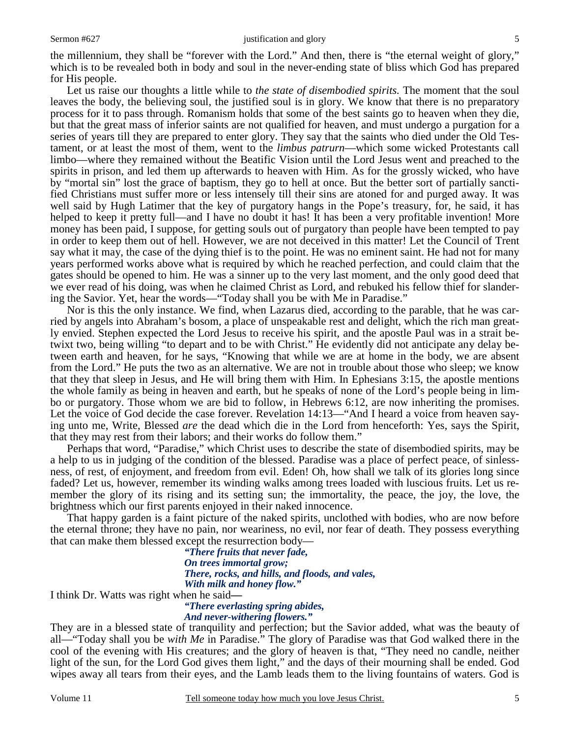the millennium, they shall be "forever with the Lord." And then, there is "the eternal weight of glory," which is to be revealed both in body and soul in the never-ending state of bliss which God has prepared for His people.

 Let us raise our thoughts a little while to *the state of disembodied spirits.* The moment that the soul leaves the body, the believing soul, the justified soul is in glory. We know that there is no preparatory process for it to pass through. Romanism holds that some of the best saints go to heaven when they die, but that the great mass of inferior saints are not qualified for heaven, and must undergo a purgation for a series of years till they are prepared to enter glory. They say that the saints who died under the Old Testament, or at least the most of them, went to the *limbus patrurn*—which some wicked Protestants call limbo—where they remained without the Beatific Vision until the Lord Jesus went and preached to the spirits in prison, and led them up afterwards to heaven with Him. As for the grossly wicked, who have by "mortal sin" lost the grace of baptism, they go to hell at once. But the better sort of partially sanctified Christians must suffer more or less intensely till their sins are atoned for and purged away. It was well said by Hugh Latimer that the key of purgatory hangs in the Pope's treasury, for, he said, it has helped to keep it pretty full—and I have no doubt it has! It has been a very profitable invention! More money has been paid, I suppose, for getting souls out of purgatory than people have been tempted to pay in order to keep them out of hell. However, we are not deceived in this matter! Let the Council of Trent say what it may, the case of the dying thief is to the point. He was no eminent saint. He had not for many years performed works above what is required by which he reached perfection, and could claim that the gates should be opened to him. He was a sinner up to the very last moment, and the only good deed that we ever read of his doing, was when he claimed Christ as Lord, and rebuked his fellow thief for slandering the Savior. Yet, hear the words—"Today shall you be with Me in Paradise."

 Nor is this the only instance. We find, when Lazarus died, according to the parable, that he was carried by angels into Abraham's bosom, a place of unspeakable rest and delight, which the rich man greatly envied. Stephen expected the Lord Jesus to receive his spirit, and the apostle Paul was in a strait betwixt two, being willing "to depart and to be with Christ." He evidently did not anticipate any delay between earth and heaven, for he says, "Knowing that while we are at home in the body, we are absent from the Lord." He puts the two as an alternative. We are not in trouble about those who sleep; we know that they that sleep in Jesus, and He will bring them with Him. In Ephesians 3:15, the apostle mentions the whole family as being in heaven and earth, but he speaks of none of the Lord's people being in limbo or purgatory. Those whom we are bid to follow, in Hebrews 6:12, are now inheriting the promises. Let the voice of God decide the case forever. Revelation 14:13—"And I heard a voice from heaven saying unto me, Write, Blessed *are* the dead which die in the Lord from henceforth: Yes, says the Spirit, that they may rest from their labors; and their works do follow them."

 Perhaps that word, "Paradise," which Christ uses to describe the state of disembodied spirits, may be a help to us in judging of the condition of the blessed. Paradise was a place of perfect peace, of sinlessness, of rest, of enjoyment, and freedom from evil. Eden! Oh, how shall we talk of its glories long since faded? Let us, however, remember its winding walks among trees loaded with luscious fruits. Let us remember the glory of its rising and its setting sun; the immortality, the peace, the joy, the love, the brightness which our first parents enjoyed in their naked innocence.

 That happy garden is a faint picture of the naked spirits, unclothed with bodies, who are now before the eternal throne; they have no pain, nor weariness, no evil, nor fear of death. They possess everything that can make them blessed except the resurrection body—

*"There fruits that never fade, On trees immortal grow; There, rocks, and hills, and floods, and vales, With milk and honey flow."*  I think Dr. Watts was right when he said*—* 

*"There everlasting spring abides, And never-withering flowers."* 

They are in a blessed state of tranquility and perfection; but the Savior added, what was the beauty of all—"Today shall you be *with Me* in Paradise." The glory of Paradise was that God walked there in the cool of the evening with His creatures; and the glory of heaven is that, "They need no candle, neither light of the sun, for the Lord God gives them light," and the days of their mourning shall be ended. God wipes away all tears from their eyes, and the Lamb leads them to the living fountains of waters. God is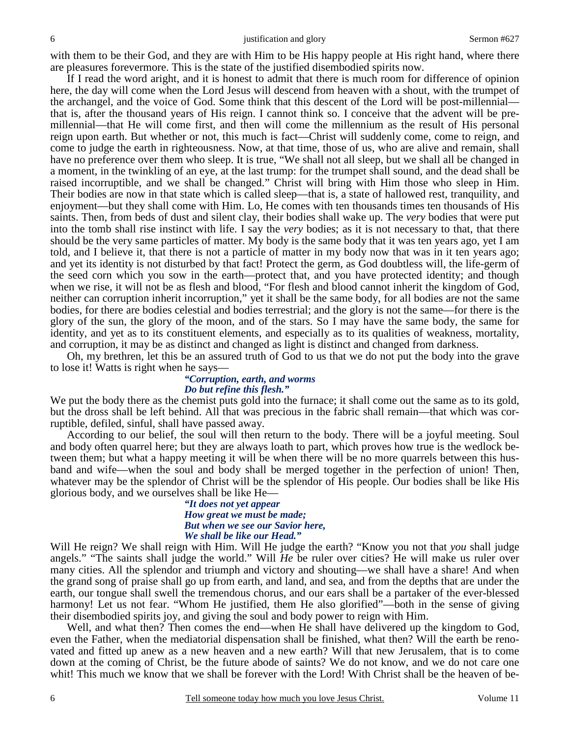with them to be their God, and they are with Him to be His happy people at His right hand, where there are pleasures forevermore. This is the state of the justified disembodied spirits now.

 If I read the word aright, and it is honest to admit that there is much room for difference of opinion here, the day will come when the Lord Jesus will descend from heaven with a shout, with the trumpet of the archangel, and the voice of God. Some think that this descent of the Lord will be post-millennial that is, after the thousand years of His reign. I cannot think so. I conceive that the advent will be premillennial—that He will come first, and then will come the millennium as the result of His personal reign upon earth. But whether or not, this much is fact—Christ will suddenly come, come to reign, and come to judge the earth in righteousness. Now, at that time, those of us, who are alive and remain, shall have no preference over them who sleep. It is true, "We shall not all sleep, but we shall all be changed in a moment, in the twinkling of an eye, at the last trump: for the trumpet shall sound, and the dead shall be raised incorruptible, and we shall be changed." Christ will bring with Him those who sleep in Him. Their bodies are now in that state which is called sleep—that is, a state of hallowed rest, tranquility, and enjoyment—but they shall come with Him. Lo, He comes with ten thousands times ten thousands of His saints. Then, from beds of dust and silent clay, their bodies shall wake up. The *very* bodies that were put into the tomb shall rise instinct with life. I say the *very* bodies; as it is not necessary to that, that there should be the very same particles of matter. My body is the same body that it was ten years ago, yet I am told, and I believe it, that there is not a particle of matter in my body now that was in it ten years ago; and yet its identity is not disturbed by that fact! Protect the germ, as God doubtless will, the life-germ of the seed corn which you sow in the earth—protect that, and you have protected identity; and though when we rise, it will not be as flesh and blood, "For flesh and blood cannot inherit the kingdom of God, neither can corruption inherit incorruption," yet it shall be the same body, for all bodies are not the same bodies, for there are bodies celestial and bodies terrestrial; and the glory is not the same—for there is the glory of the sun, the glory of the moon, and of the stars. So I may have the same body, the same for identity, and yet as to its constituent elements, and especially as to its qualities of weakness, mortality, and corruption, it may be as distinct and changed as light is distinct and changed from darkness.

 Oh, my brethren, let this be an assured truth of God to us that we do not put the body into the grave to lose it! Watts is right when he says—

#### *"Corruption, earth, and worms Do but refine this flesh."*

We put the body there as the chemist puts gold into the furnace; it shall come out the same as to its gold, but the dross shall be left behind. All that was precious in the fabric shall remain—that which was corruptible, defiled, sinful, shall have passed away.

 According to our belief, the soul will then return to the body. There will be a joyful meeting. Soul and body often quarrel here; but they are always loath to part, which proves how true is the wedlock between them; but what a happy meeting it will be when there will be no more quarrels between this husband and wife—when the soul and body shall be merged together in the perfection of union! Then, whatever may be the splendor of Christ will be the splendor of His people. Our bodies shall be like His glorious body, and we ourselves shall be like He—

> *"It does not yet appear How great we must be made; But when we see our Savior here, We shall be like our Head."*

Will He reign? We shall reign with Him. Will He judge the earth? "Know you not that *you* shall judge angels." "The saints shall judge the world." Will *He* be ruler over cities? He will make us ruler over many cities. All the splendor and triumph and victory and shouting—we shall have a share! And when the grand song of praise shall go up from earth, and land, and sea, and from the depths that are under the earth, our tongue shall swell the tremendous chorus, and our ears shall be a partaker of the ever-blessed harmony! Let us not fear. "Whom He justified, them He also glorified"—both in the sense of giving their disembodied spirits joy, and giving the soul and body power to reign with Him.

 Well, and what then? Then comes the end—when He shall have delivered up the kingdom to God, even the Father, when the mediatorial dispensation shall be finished, what then? Will the earth be renovated and fitted up anew as a new heaven and a new earth? Will that new Jerusalem, that is to come down at the coming of Christ, be the future abode of saints? We do not know, and we do not care one whit! This much we know that we shall be forever with the Lord! With Christ shall be the heaven of be-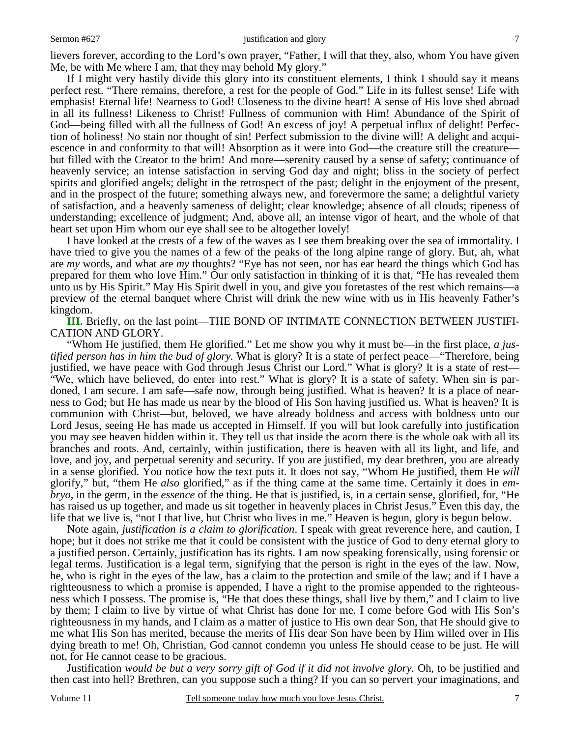If I might very hastily divide this glory into its constituent elements, I think I should say it means perfect rest. "There remains, therefore, a rest for the people of God." Life in its fullest sense! Life with emphasis! Eternal life! Nearness to God! Closeness to the divine heart! A sense of His love shed abroad in all its fullness! Likeness to Christ! Fullness of communion with Him! Abundance of the Spirit of God—being filled with all the fullness of God! An excess of joy! A perpetual influx of delight! Perfection of holiness! No stain nor thought of sin! Perfect submission to the divine will! A delight and acquiescence in and conformity to that will! Absorption as it were into God—the creature still the creature but filled with the Creator to the brim! And more—serenity caused by a sense of safety; continuance of heavenly service; an intense satisfaction in serving God day and night; bliss in the society of perfect spirits and glorified angels; delight in the retrospect of the past; delight in the enjoyment of the present, and in the prospect of the future; something always new, and forevermore the same; a delightful variety of satisfaction, and a heavenly sameness of delight; clear knowledge; absence of all clouds; ripeness of understanding; excellence of judgment; And, above all, an intense vigor of heart, and the whole of that heart set upon Him whom our eye shall see to be altogether lovely!

 I have looked at the crests of a few of the waves as I see them breaking over the sea of immortality. I have tried to give you the names of a few of the peaks of the long alpine range of glory. But, ah, what are *my* words, and what are *my* thoughts? "Eye has not seen, nor has ear heard the things which God has prepared for them who love Him." Our only satisfaction in thinking of it is that, "He has revealed them unto us by His Spirit." May His Spirit dwell in you, and give you foretastes of the rest which remains—a preview of the eternal banquet where Christ will drink the new wine with us in His heavenly Father's kingdom.

**III.** Briefly, on the last point—THE BOND OF INTIMATE CONNECTION BETWEEN JUSTIFI-CATION AND GLORY.

 "Whom He justified, them He glorified." Let me show you why it must be—in the first place, *a justified person has in him the bud of glory.* What is glory? It is a state of perfect peace—"Therefore, being justified, we have peace with God through Jesus Christ our Lord." What is glory? It is a state of rest— "We, which have believed, do enter into rest." What is glory? It is a state of safety. When sin is pardoned, I am secure. I am safe—safe now, through being justified. What is heaven? It is a place of nearness to God; but He has made us near by the blood of His Son having justified us. What is heaven? It is communion with Christ—but, beloved, we have already boldness and access with boldness unto our Lord Jesus, seeing He has made us accepted in Himself. If you will but look carefully into justification you may see heaven hidden within it. They tell us that inside the acorn there is the whole oak with all its branches and roots. And, certainly, within justification, there is heaven with all its light, and life, and love, and joy, and perpetual serenity and security. If you are justified, my dear brethren, you are already in a sense glorified. You notice how the text puts it. It does not say, "Whom He justified, them He *will* glorify," but, "them He *also* glorified," as if the thing came at the same time. Certainly it does in *embryo*, in the germ, in the *essence* of the thing. He that is justified, is, in a certain sense, glorified, for, "He has raised us up together, and made us sit together in heavenly places in Christ Jesus." Even this day, the life that we live is, "not I that live, but Christ who lives in me." Heaven is begun, glory is begun below.

 Note again, *justification is a claim to glorification*. I speak with great reverence here, and caution, I hope; but it does not strike me that it could be consistent with the justice of God to deny eternal glory to a justified person. Certainly, justification has its rights. I am now speaking forensically, using forensic or legal terms. Justification is a legal term, signifying that the person is right in the eyes of the law. Now, he, who is right in the eyes of the law, has a claim to the protection and smile of the law; and if I have a righteousness to which a promise is appended, I have a right to the promise appended to the righteousness which I possess. The promise is, "He that does these things, shall live by them," and I claim to live by them; I claim to live by virtue of what Christ has done for me. I come before God with His Son's righteousness in my hands, and I claim as a matter of justice to His own dear Son, that He should give to me what His Son has merited, because the merits of His dear Son have been by Him willed over in His dying breath to me! Oh, Christian, God cannot condemn you unless He should cease to be just. He will not, for He cannot cease to be gracious.

 Justification *would be but a very sorry gift of God if it did not involve glory.* Oh, to be justified and then cast into hell? Brethren, can you suppose such a thing? If you can so pervert your imaginations, and